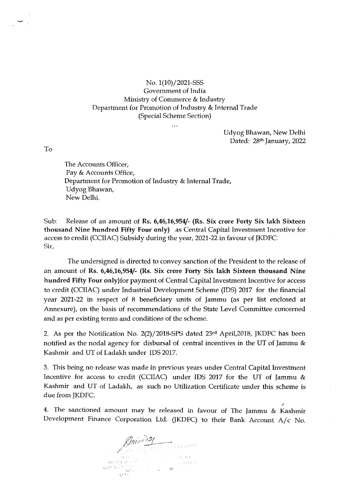## No. 1(10)/2021-SSS Government of India Ministry of Commerce & Industry Department for Promotion of Industry & Internal Trade (Special Scheme Section)

Udyog Bhawan, New Delhi Dated: 28<sup>th</sup> January, 2022

To

The Accounts Officer, Pay & Accounts Office, Department for Promotion of Industry & Internal Trade, Udyog Bhawan, New Delhi.

Sub: Release of an amount of **Rs. 6,46,16,954/- (Rs. Six crore Forty Six lakh Sixteen thousand Nine hundred Fifty Four only)** as Central Capital Investment Incentive for access to credit (CCIIAC) Subsidy during the year, 2021-22 in favour of JKDFC. Sir,

The undersigned is directed to convey sanction of the President to the release of an amount of **Rs. 6,46,16,954/- (Rs. Six crore Forty Six lakh Sixteen thousand Nine**  hundred Fifty Four only)for payment of Central Capital Investment Incentive for access to credit (CCIIAC) under Industrial Development Scheme (IDS) 2017 for the financial year 2021-22 in respect of 8 beneficiary unit5 of Jammu (as per list enclosed at Annexure), on the basis of recommendations of the State Level Committee concerned and as per existing terms and conditions of the scheme.

2. As per the Notification No. 2(2)/2018-SPS dated 23rd April,2018, JKDFC has been notified as the nodal agency for disbursal of central incentives in the UT of Jammu & Kashmir and UT of Ladakh under IDS 2017.

3. This being no release was made in previous years under Central Capital Investment Incentive for access to credit (CCIIAC) under IDS 2017 for the UT of Jammu & Kashmir and UT of Ladakh, as such no Utilization Certificate under this scheme is due from JKDFC.

4. The sanctioned amount may be released in favour of The Jammu & Kashmir Development Finance Corporation Ltd. (JKDFC) to their Bank Account A/c No.

Anjoud of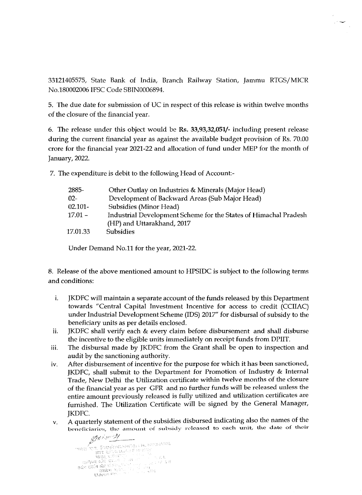33121405575, State Bank of India, Branch Railway Station, Jammu RTGS/MICR No.180002006 IFSC Code SBIN0006894.

5. 'Ihe due date for submission of UC in respect of this release is within twelve months of the closure of the financial year.

6. The release under this object would be **Rs. 33,93,32,051/-** including present release during the current financial year as against the available budget provision of Rs. 70.00 crore for the financial year 2021-22 and allocation of fund under MEP for the month of January, 2022.

7. The expenditure is debit to the following Head of Account-

| 2885-      | Other Outlay on Industries & Minerals (Major Head)                                             |  |  |  |
|------------|------------------------------------------------------------------------------------------------|--|--|--|
| $02 -$     | Development of Backward Areas (Sub Major Head)                                                 |  |  |  |
| $02.101 -$ | Subsidies (Minor Head)                                                                         |  |  |  |
| $17.01 -$  | Industrial Development Scheme for the States of Himachal Pradesh<br>(HP) and Uttarakhand, 2017 |  |  |  |
| 17.01.33   | <b>Subsidies</b>                                                                               |  |  |  |

Under Demand No.11 for the year, 2021-22.

8. Release of the above mentioned amount to HPSIDC is subject to the following terms and conditions:

- i. JKDFC will maintain a separate account of the funds released by this Department towards "Central Capital Investment Incentive for access to credit (CCIIAC) under Industrial Development Scheme (IDS) 2017" for disbursal of subsidy to the beneficiary units as per details enclosed.
- ii. JKDFC shall verify each  $&$  every claim before disbursement and shall disburse the incentive to the eligible units immediately on receipt funds from DPIIT.
- iii. The disbursal made by JKDFC from the Grant shall be open to inspection and audit by the sanctioning authority.
- iv. After disbursement of incentive for the purpose for which it has been sanctioned, JKDFC, shall submit to the Department for Promotion of Industry & Internal Trade, New Delhi the Utilization certificate within twelve months of the closure of the financial year as per GFR and no further funds will be released unless the entire amount previously released js fully utilized and utilization certificates are furnished. The Utilization Certificate will be signed by the General Manager, JKDFC.
- v. A quarterly statement of the subsidies disbursed indicating also the names of the beneficiaries, the amount of subsidy released to each unit, the date of their

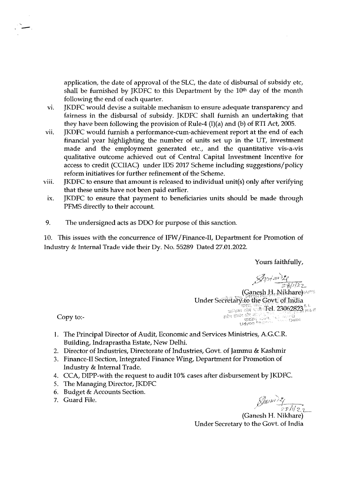application, the date of approval of the SLC, the date of disbursal of subsidy etc, shall be furnished by JKDFC to this Department by the  $10<sup>th</sup>$  day of the month following the end of each quarter.

- vi. JKDFC would devise a suitable mechanism to ensure adequate transparency and fairness in the disbursal of subsidy. JKDFC sha11 furnish an undertaking that they have been following the provision of Rule-4 {I)(a) and (b) of RTI Act, 2005.
- vii. JKDFC would furnish a performance-cum-achievement report at the end of each financial year highlighting the number of units set up in the UT, investment made and the employment generated etc., and the quantitative vis-a-vis qualitative outcome achieved out of Central Capital Investment Incentive for access to credit (CCIIAC) under IDS 2017 Scheme including suggestions/policy reform initiatives for further refinement of the Scheme.
- viii. JKDFC to ensure that amount is released to individual unit(s) only after verifying that these units have not been paid earlier.
- ix. JKDFC to ensure that payment to beneficiaries units should be made through PFMS directly to their account.
- 9. The undersigned acts as DDO for purpose of this sanction.

10. This issues with the concurrence of IFW /Finance-II, Department for Promotion of Industry & Internal Trade vide their Dy. No. 55289 Dated 27.01.2022.

Yours faithfully,

 $S$ misvirze

(Ganesh H. Nikhare) Under Secretary to the Govt, of India  $\frac{1}{\sin^2\theta} \frac{\sin^2\theta}{\sin^2\theta} \cdot \frac{1}{\sin^2\theta} \cdot \frac{1}{\sin^2\theta} \cdot \frac{1}{\sin^2\theta}$ Have them we had the thing the set of the set of the set of the set of the set of the set of the set of the set of the set of the set of the set of the set of the set of the set of the set of the set of the set of the set

Copy to:-

- l. The Principal Director of Audit, Economic and Services Ministries, AG.CR. Building, Indraprastha Estate, New Delhi.
- 2. Director of Industries, Directorate of Industries, Govt. of Jammu & Kashmir
- 3. Finance-II Section, Integrated Finance Wing, Department for Promotion of Industry & Internal Trade.
- 4. CCA, DIPP-with the request to audit 10% cases after disbursement by JKDFC.
- 5. The Managing Director, JKDFC
- 6. Budget & Accounts Section.
- 7. Guard File.

 $\mathbb{Z}_f$  $\frac{1}{2 \sinh 2 \pi}$ 

(Ganesh H. Nikhare) Under Secretary to the Govt. of India